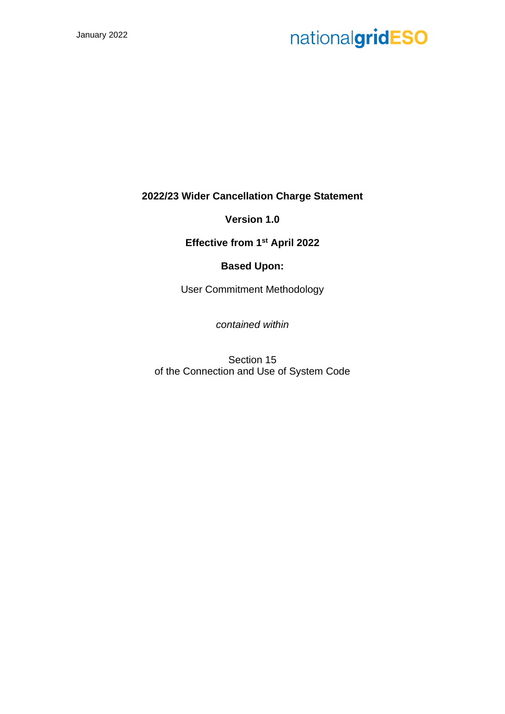**2022/23 Wider Cancellation Charge Statement**

**Version 1.0**

**Effective from 1st April 2022**

# **Based Upon:**

User Commitment Methodology

*contained within*

Section 15 of the Connection and Use of System Code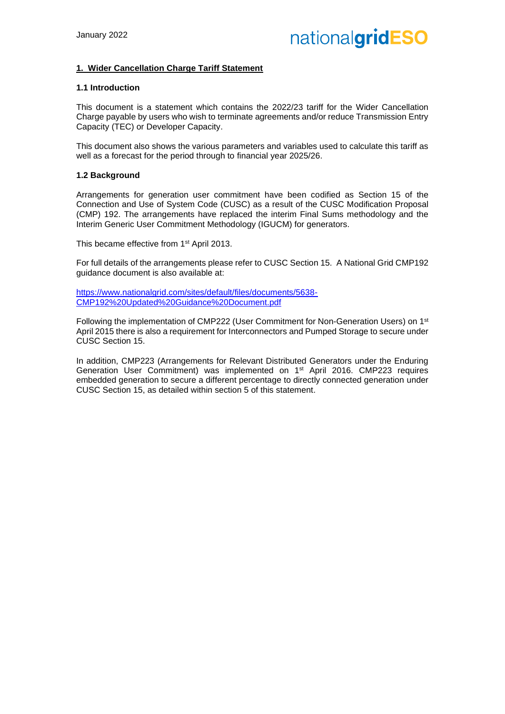## **1. Wider Cancellation Charge Tariff Statement**

## **1.1 Introduction**

This document is a statement which contains the 2022/23 tariff for the Wider Cancellation Charge payable by users who wish to terminate agreements and/or reduce Transmission Entry Capacity (TEC) or Developer Capacity.

This document also shows the various parameters and variables used to calculate this tariff as well as a forecast for the period through to financial year 2025/26.

#### **1.2 Background**

Arrangements for generation user commitment have been codified as Section 15 of the Connection and Use of System Code (CUSC) as a result of the CUSC Modification Proposal (CMP) 192. The arrangements have replaced the interim Final Sums methodology and the Interim Generic User Commitment Methodology (IGUCM) for generators.

This became effective from 1<sup>st</sup> April 2013.

For full details of the arrangements please refer to CUSC Section 15. A National Grid CMP192 guidance document is also available at:

[https://www.nationalgrid.com/sites/default/files/documents/5638-](https://www.nationalgrid.com/sites/default/files/documents/5638-CMP192%20Updated%20Guidance%20Document.pdf) [CMP192%20Updated%20Guidance%20Document.pdf](https://www.nationalgrid.com/sites/default/files/documents/5638-CMP192%20Updated%20Guidance%20Document.pdf)

Following the implementation of CMP222 (User Commitment for Non-Generation Users) on 1st April 2015 there is also a requirement for Interconnectors and Pumped Storage to secure under CUSC Section 15.

In addition, CMP223 (Arrangements for Relevant Distributed Generators under the Enduring Generation User Commitment) was implemented on 1st April 2016. CMP223 requires embedded generation to secure a different percentage to directly connected generation under CUSC Section 15, as detailed within section 5 of this statement.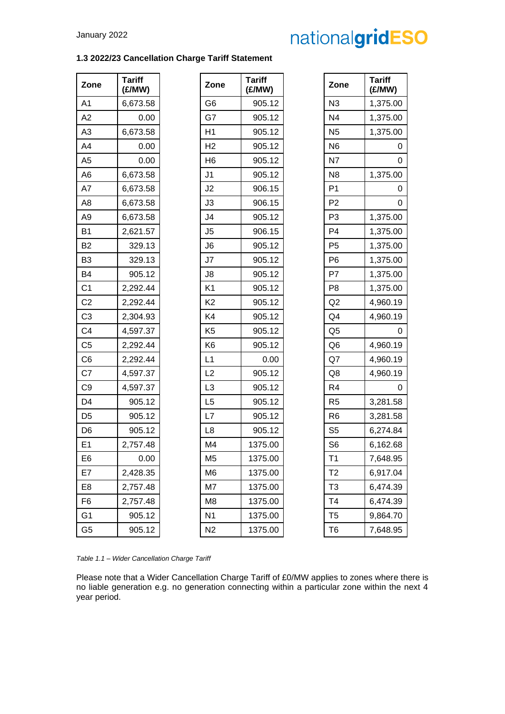# **1.3 2022/23 Cancellation Charge Tariff Statement**

| Zone           | <b>Tariff</b><br>(E/MW) | Zone           | <b>Tariff</b><br>(£/MW) | Zone           | <b>Tariff</b><br>(E/MW) |
|----------------|-------------------------|----------------|-------------------------|----------------|-------------------------|
| A1             | 6,673.58                | G <sub>6</sub> | 905.12                  | N3             | 1,375.00                |
| A2             | 0.00                    | G7             | 905.12                  | N <sub>4</sub> | 1,375.00                |
| A <sub>3</sub> | 6,673.58                | H1             | 905.12                  | N <sub>5</sub> | 1,375.00                |
| A4             | 0.00                    | H <sub>2</sub> | 905.12                  | N <sub>6</sub> | $\mathbf 0$             |
| A <sub>5</sub> | 0.00                    | H <sub>6</sub> | 905.12                  | N7             | $\mathbf 0$             |
| A <sub>6</sub> | 6,673.58                | J <sub>1</sub> | 905.12                  | N <sub>8</sub> | 1,375.00                |
| A7             | 6,673.58                | J2             | 906.15                  | P <sub>1</sub> | 0                       |
| A <sub>8</sub> | 6,673.58                | J3             | 906.15                  | P <sub>2</sub> | $\overline{0}$          |
| A <sub>9</sub> | 6,673.58                | J <sub>4</sub> | 905.12                  | P <sub>3</sub> | 1,375.00                |
| <b>B1</b>      | 2,621.57                | J5             | 906.15                  | P <sub>4</sub> | 1,375.00                |
| <b>B2</b>      | 329.13                  | J6             | 905.12                  | P <sub>5</sub> | 1,375.00                |
| B <sub>3</sub> | 329.13                  | J7             | 905.12                  | P <sub>6</sub> | 1,375.00                |
| <b>B4</b>      | 905.12                  | J8             | 905.12                  | P7             | 1,375.00                |
| C <sub>1</sub> | 2,292.44                | K <sub>1</sub> | 905.12                  | P <sub>8</sub> | 1,375.00                |
| C <sub>2</sub> | 2,292.44                | K <sub>2</sub> | 905.12                  | Q2             | 4,960.19                |
| C <sub>3</sub> | 2,304.93                | K4             | 905.12                  | Q4             | 4,960.19                |
| C <sub>4</sub> | 4,597.37                | K <sub>5</sub> | 905.12                  | Q <sub>5</sub> | 0                       |
| C <sub>5</sub> | 2,292.44                | K <sub>6</sub> | 905.12                  | Q <sub>6</sub> | 4,960.19                |
| C <sub>6</sub> | 2,292.44                | L1             | 0.00                    | Q7             | 4,960.19                |
| C7             | 4,597.37                | L2             | 905.12                  | Q8             | 4,960.19                |
| C <sub>9</sub> | 4,597.37                | L <sub>3</sub> | 905.12                  | R <sub>4</sub> | 0                       |
| D <sub>4</sub> | 905.12                  | L <sub>5</sub> | 905.12                  | R <sub>5</sub> | 3,281.58                |
| D <sub>5</sub> | 905.12                  | L7             | 905.12                  | R <sub>6</sub> | 3,281.58                |
| D <sub>6</sub> | 905.12                  | L8             | 905.12                  | S <sub>5</sub> | 6,274.84                |
| E <sub>1</sub> | 2,757.48                | M4             | 1375.00                 | S <sub>6</sub> | 6,162.68                |
| E <sub>6</sub> | 0.00                    | M <sub>5</sub> | 1375.00                 | T <sub>1</sub> | 7,648.95                |
| E7             | 2,428.35                | M <sub>6</sub> | 1375.00                 | T <sub>2</sub> | 6,917.04                |
| E <sub>8</sub> | 2,757.48                | M7             | 1375.00                 | T <sub>3</sub> | 6,474.39                |
| F <sub>6</sub> | 2,757.48                | M8             | 1375.00                 | T <sub>4</sub> | 6,474.39                |
| G <sub>1</sub> | 905.12                  | N <sub>1</sub> | 1375.00                 | T <sub>5</sub> | 9,864.70                |
| G <sub>5</sub> | 905.12                  | N <sub>2</sub> | 1375.00                 | T <sub>6</sub> | 7,648.95                |

| Zone           | Tariff<br>(£/MW) |
|----------------|------------------|
| G <sub>6</sub> | 905.12           |
| G7             | 905.12           |
| H1             | 905.12           |
| H <sub>2</sub> | 905.12           |
| H <sub>6</sub> | 905.12           |
| J1             | 905.12           |
| J2             | 906.15           |
| J3             | 906.15           |
| J4             | 905.12           |
| J5             | 906.15           |
| J <sub>6</sub> | 905.12           |
| J7             | 905.12           |
| J8             | 905.12           |
| K1             | 905.12           |
| K <sub>2</sub> | 905.12           |
| K4             | 905.12           |
| K <sub>5</sub> | 905.12           |
| K <sub>6</sub> | 905.12           |
| L1             | 0.00             |
| L2             | 905.12           |
| L <sub>3</sub> | 905.12           |
| L5             | 905.12           |
| L7             | 905.12           |
| L8             | 905.12           |
| M4             | 1375.00          |
| M5             | 1375.00          |
| M6             | 1375.00          |
| M7             | 1375.00          |
| M8             | 1375.00          |
| N1             | 1375.00          |
| N2             | 1375.00          |

| <b>Tariff</b><br>(£/MW) | Zone           | Tariff<br>(£/MW) |
|-------------------------|----------------|------------------|
| 905.12                  | N <sub>3</sub> | 1,375.00         |
| 905.12                  | N4             | 1,375.00         |
| 905.12                  | N <sub>5</sub> | 1,375.00         |
| 905.12                  | N <sub>6</sub> | 0                |
| 905.12                  | N7             | 0                |
| 905.12                  | N8             | 1,375.00         |
| 906.15                  | P1             | 0                |
| 906.15                  | P2             | 0                |
| 905.12                  | P <sub>3</sub> | 1,375.00         |
| 906.15                  | P4             | 1,375.00         |
| 905.12                  | P <sub>5</sub> | 1,375.00         |
| 905.12                  | P6             | 1,375.00         |
| 905.12                  | P7             | 1,375.00         |
| 905.12                  | P8             | 1,375.00         |
| 905.12                  | Q2             | 4,960.19         |
| 905.12                  | Q4             | 4,960.19         |
| 905.12                  | Q <sub>5</sub> | 0                |
| 905.12                  | Q <sub>6</sub> | 4,960.19         |
| 0.00                    | Q7             | 4,960.19         |
| 905.12                  | Q8             | 4,960.19         |
| 905.12                  | R4             | 0                |
| 905.12                  | R <sub>5</sub> | 3,281.58         |
| 905.12                  | R <sub>6</sub> | 3,281.58         |
| 905.12                  | S <sub>5</sub> | 6,274.84         |
| 1375.00                 | S <sub>6</sub> | 6,162.68         |
| 1375.00                 | T <sub>1</sub> | 7,648.95         |
| 1375.00                 | T2             | 6,917.04         |
| 1375.00                 | T3             | 6,474.39         |
| 1375.00                 | T4             | 6,474.39         |
| 1375.00                 | T5             | 9,864.70         |
| 1375.00                 | T <sub>6</sub> | 7,648.95         |

*Table 1.1 – Wider Cancellation Charge Tariff*

Please note that a Wider Cancellation Charge Tariff of £0/MW applies to zones where there is no liable generation e.g. no generation connecting within a particular zone within the next 4 year period.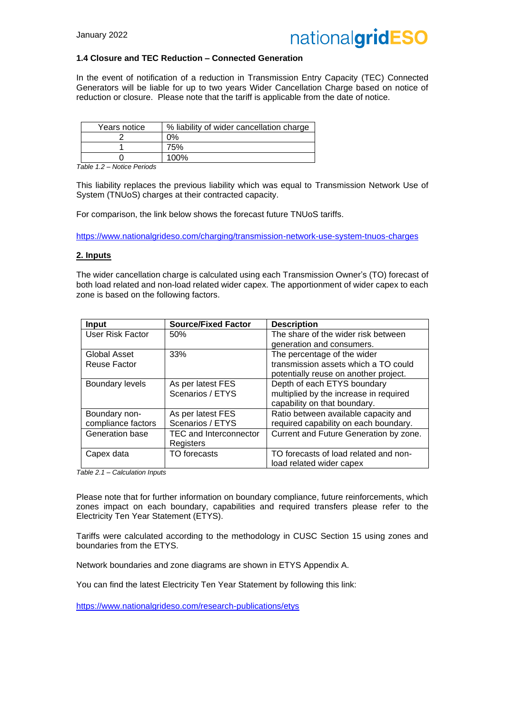

### **1.4 Closure and TEC Reduction – Connected Generation**

In the event of notification of a reduction in Transmission Entry Capacity (TEC) Connected Generators will be liable for up to two years Wider Cancellation Charge based on notice of reduction or closure. Please note that the tariff is applicable from the date of notice.

| Years notice | % liability of wider cancellation charge |
|--------------|------------------------------------------|
|              | ገ%                                       |
|              | 75%                                      |
|              | 100%                                     |

*Table 1.2 – Notice Periods*

This liability replaces the previous liability which was equal to Transmission Network Use of System (TNUoS) charges at their contracted capacity.

For comparison, the link below shows the forecast future TNUoS tariffs.

<https://www.nationalgrideso.com/charging/transmission-network-use-system-tnuos-charges>

## **2. Inputs**

The wider cancellation charge is calculated using each Transmission Owner's (TO) forecast of both load related and non-load related wider capex. The apportionment of wider capex to each zone is based on the following factors.

| <b>Input</b>           | <b>Source/Fixed Factor</b>    | <b>Description</b>                     |
|------------------------|-------------------------------|----------------------------------------|
| User Risk Factor       | 50%                           | The share of the wider risk between    |
|                        |                               | generation and consumers.              |
| Global Asset           | 33%                           | The percentage of the wider            |
| Reuse Factor           |                               | transmission assets which a TO could   |
|                        |                               | potentially reuse on another project.  |
| <b>Boundary levels</b> | As per latest FES             | Depth of each ETYS boundary            |
|                        | Scenarios / ETYS              | multiplied by the increase in required |
|                        |                               | capability on that boundary.           |
| Boundary non-          | As per latest FES             | Ratio between available capacity and   |
| compliance factors     | Scenarios / ETYS              | required capability on each boundary.  |
| Generation base        | <b>TEC and Interconnector</b> | Current and Future Generation by zone. |
|                        | Registers                     |                                        |
| Capex data             | TO forecasts                  | TO forecasts of load related and non-  |
|                        |                               | load related wider capex               |

*Table 2.1 – Calculation Inputs*

Please note that for further information on boundary compliance, future reinforcements, which zones impact on each boundary, capabilities and required transfers please refer to the Electricity Ten Year Statement (ETYS).

Tariffs were calculated according to the methodology in CUSC Section 15 using zones and boundaries from the ETYS.

Network boundaries and zone diagrams are shown in ETYS Appendix A.

You can find the latest Electricity Ten Year Statement by following this link:

<https://www.nationalgrideso.com/research-publications/etys>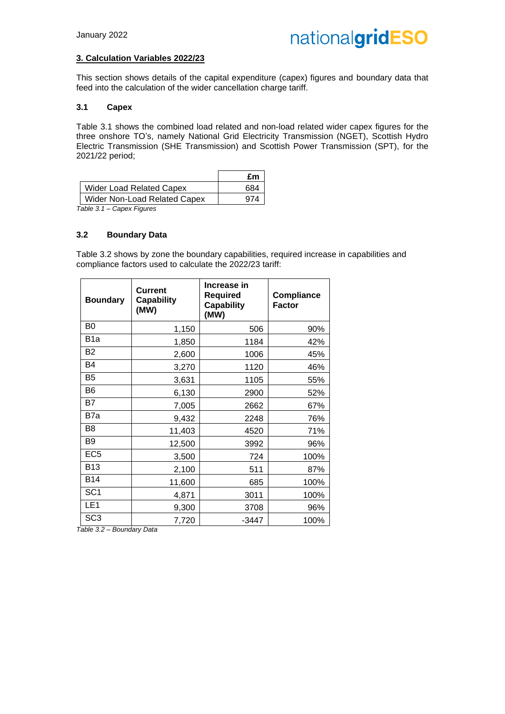## **3. Calculation Variables 2022/23**

This section shows details of the capital expenditure (capex) figures and boundary data that feed into the calculation of the wider cancellation charge tariff.

#### **3.1 Capex**

Table 3.1 shows the combined load related and non-load related wider capex figures for the three onshore TO's, namely National Grid Electricity Transmission (NGET), Scottish Hydro Electric Transmission (SHE Transmission) and Scottish Power Transmission (SPT), for the 2021/22 period;

|                                                                                                         | £m  |
|---------------------------------------------------------------------------------------------------------|-----|
| <b>Wider Load Related Capex</b>                                                                         | 684 |
| Wider Non-Load Related Capex                                                                            |     |
| $T - L L - T$<br>$\bigcap_{i=1}^{n}$ . The set of $\bigcap_{i=1}^{n}$ is the set of $\bigcap_{i=1}^{n}$ |     |

*Table 3.1 – Capex Figures*

### **3.2 Boundary Data**

Table 3.2 shows by zone the boundary capabilities, required increase in capabilities and compliance factors used to calculate the 2022/23 tariff:

| <b>Boundary</b>  | <b>Current</b><br><b>Capability</b><br>(MW) | Increase in<br>Required<br><b>Capability</b><br>(MW) | <b>Compliance</b><br><b>Factor</b> |
|------------------|---------------------------------------------|------------------------------------------------------|------------------------------------|
| B <sub>0</sub>   | 1,150                                       | 506                                                  | 90%                                |
| B <sub>1</sub> a | 1,850                                       | 1184                                                 | 42%                                |
| B <sub>2</sub>   | 2,600                                       | 1006                                                 | 45%                                |
| <b>B4</b>        | 3,270                                       | 1120                                                 | 46%                                |
| B <sub>5</sub>   | 3,631                                       | 1105                                                 | 55%                                |
| B <sub>6</sub>   | 6,130                                       | 2900                                                 | 52%                                |
| B7               | 7,005                                       | 2662                                                 | 67%                                |
| B7a              | 9,432                                       | 2248                                                 | 76%                                |
| B <sub>8</sub>   | 11,403                                      | 4520                                                 | 71%                                |
| B <sub>9</sub>   | 12,500                                      | 3992                                                 | 96%                                |
| EC <sub>5</sub>  | 3,500                                       | 724                                                  | 100%                               |
| <b>B13</b>       | 2,100                                       | 511                                                  | 87%                                |
| <b>B14</b>       | 11,600                                      | 685                                                  | 100%                               |
| SC <sub>1</sub>  | 4,871                                       | 3011                                                 | 100%                               |
| LE <sub>1</sub>  | 9,300                                       | 3708                                                 | 96%                                |
| SC <sub>3</sub>  | 7,720                                       | $-3447$                                              | 100%                               |

*Table 3.2 – Boundary Data*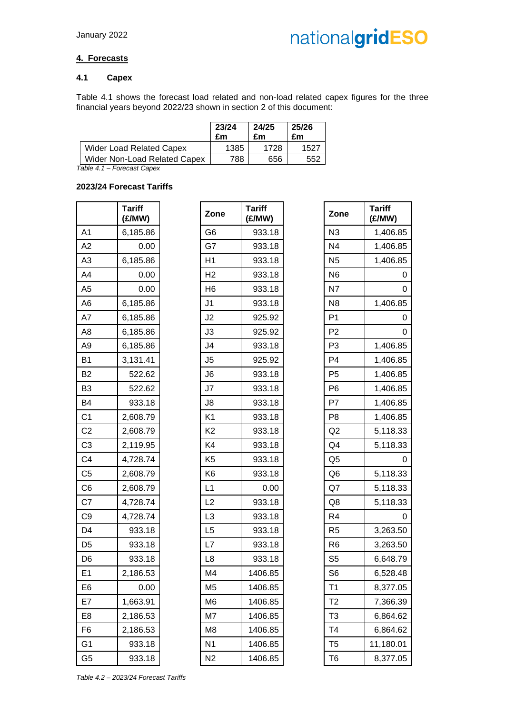# **4. Forecasts**

## **4.1 Capex**

Table 4.1 shows the forecast load related and non-load related capex figures for the three financial years beyond 2022/23 shown in section 2 of this document:

|                                 | 23/24<br>£m | 24/25<br>£m | 25/26<br>£m |
|---------------------------------|-------------|-------------|-------------|
| <b>Wider Load Related Capex</b> | 1385        | 1728        | 152.        |
| Wider Non-Load Related Capex    | 788         | 656         | 552         |

*Table 4.1 – Forecast Capex*

## **2023/24 Forecast Tariffs**

|                | Tariff<br>(£/MW) |
|----------------|------------------|
| A1             | 6,185.86         |
| A2             | 0.00             |
| A3             | 6,185.86         |
| A4             | 0.00             |
| A5             | 0.00             |
| A <sub>6</sub> | 6,185.86         |
| A7             | 6,185.86         |
| A8             | 6,185.86         |
| A9             | 6,185.86         |
| B1             | 3,131.41         |
| B2             | 522.62           |
| B3             | 522.62           |
| B4             | 933.18           |
| C <sub>1</sub> | 2,608.79         |
| C <sub>2</sub> | 2,608.79         |
| C <sub>3</sub> | 2,119.95         |
| C4             | 4,728.74         |
| C <sub>5</sub> | 2,608.79         |
| C <sub>6</sub> | 2,608.79         |
| C7             | 4,728.74         |
| C9             | 4,728.74         |
| D4             | 933.18           |
| D5             | 933.18           |
| D6             | 933.18           |
| E1             | 2,186.53         |
| E6             | 0.00             |
| E7             | 1,663.91         |
| E8             | 2,186.53         |
| F6             | 2,186.53         |
| G1             | 933.18           |
| G5             | 933.18           |

|                | <b>Tariff</b><br>(£/MW) | Zone           | <b>Tariff</b><br>(£/MW) | Zone           | <b>Tariff</b><br>(£/MW) |
|----------------|-------------------------|----------------|-------------------------|----------------|-------------------------|
| A1             | 6,185.86                | G <sub>6</sub> | 933.18                  | N3             | 1,406.85                |
| A2             | 0.00                    | G7             | 933.18                  | N <sub>4</sub> | 1,406.85                |
| A3             | 6,185.86                | H1             | 933.18                  | N <sub>5</sub> | 1,406.85                |
| A4             | 0.00                    | H <sub>2</sub> | 933.18                  | N <sub>6</sub> | 0                       |
| A5             | 0.00                    | H <sub>6</sub> | 933.18                  | N7             | $\mathbf 0$             |
| A6             | 6,185.86                | J <sub>1</sub> | 933.18                  | N <sub>8</sub> | 1,406.85                |
| A7             | 6,185.86                | J <sub>2</sub> | 925.92                  | P <sub>1</sub> | 0                       |
| A8             | 6,185.86                | J3             | 925.92                  | P <sub>2</sub> | 0                       |
| A9             | 6,185.86                | J <sub>4</sub> | 933.18                  | P <sub>3</sub> | 1,406.85                |
| Β1             | 3,131.41                | J5             | 925.92                  | P <sub>4</sub> | 1,406.85                |
| B2             | 522.62                  | J <sub>6</sub> | 933.18                  | P <sub>5</sub> | 1,406.85                |
| B3             | 522.62                  | J7             | 933.18                  | P <sub>6</sub> | 1,406.85                |
| B4             | 933.18                  | J8             | 933.18                  | P7             | 1,406.85                |
| C1             | 2,608.79                | K <sub>1</sub> | 933.18                  | P <sub>8</sub> | 1,406.85                |
| C <sub>2</sub> | 2,608.79                | K <sub>2</sub> | 933.18                  | Q2             | 5,118.33                |
| C3             | 2,119.95                | K4             | 933.18                  | Q <sub>4</sub> | 5,118.33                |
| C4             | 4,728.74                | K <sub>5</sub> | 933.18                  | Q <sub>5</sub> | 0                       |
| C5             | 2,608.79                | K <sub>6</sub> | 933.18                  | Q <sub>6</sub> | 5,118.33                |
| C6             | 2,608.79                | L1             | 0.00                    | Q7             | 5,118.33                |
| C7             | 4,728.74                | L2             | 933.18                  | Q8             | 5,118.33                |
| C9             | 4,728.74                | L <sub>3</sub> | 933.18                  | R <sub>4</sub> | 0                       |
| D4             | 933.18                  | L <sub>5</sub> | 933.18                  | R <sub>5</sub> | 3,263.50                |
| D5             | 933.18                  | L7             | 933.18                  | R <sub>6</sub> | 3,263.50                |
| D6             | 933.18                  | L <sub>8</sub> | 933.18                  | S <sub>5</sub> | 6,648.79                |
| E1             | 2,186.53                | M4             | 1406.85                 | S <sub>6</sub> | 6,528.48                |
| E6             | 0.00                    | M <sub>5</sub> | 1406.85                 | T <sub>1</sub> | 8,377.05                |
| E7             | 1,663.91                | M <sub>6</sub> | 1406.85                 | T <sub>2</sub> | 7,366.39                |
| E8             | 2,186.53                | M7             | 1406.85                 | T <sub>3</sub> | 6,864.62                |
| F6             | 2,186.53                | M <sub>8</sub> | 1406.85                 | T <sub>4</sub> | 6,864.62                |
| G1             | 933.18                  | N <sub>1</sub> | 1406.85                 | T <sub>5</sub> | 11,180.01               |
| G5             | 933.18                  | N <sub>2</sub> | 1406.85                 | T <sub>6</sub> | 8,377.05                |

| <b>Tariff</b><br>(£/MW) | Zone           | Tariff<br>(£/MW) |
|-------------------------|----------------|------------------|
| 933.18                  | N <sub>3</sub> | 1,406.85         |
| 933.18                  | N4             | 1,406.85         |
| 933.18                  | N <sub>5</sub> | 1,406.85         |
| 933.18                  | N6             | 0                |
| 933.18                  | N7             | 0                |
| 933.18                  | N8             | 1,406.85         |
| 925.92                  | P <sub>1</sub> | 0                |
| 925.92                  | P <sub>2</sub> | 0                |
| 933.18                  | P <sub>3</sub> | 1,406.85         |
| 925.92                  | P <sub>4</sub> | 1,406.85         |
| 933.18                  | P5             | 1,406.85         |
| 933.18                  | P <sub>6</sub> | 1,406.85         |
| 933.18                  | P7             | 1,406.85         |
| 933.18                  | P8             | 1,406.85         |
| 933.18                  | Q2             | 5,118.33         |
| 933.18                  | Q <sub>4</sub> | 5,118.33         |
| 933.18                  | Q <sub>5</sub> | 0                |
| 933.18                  | Q <sub>6</sub> | 5,118.33         |
| 0.00                    | Q7             | 5,118.33         |
| 933.18                  | Q8             | 5,118.33         |
| 933.18                  | R4             | O                |
| 933.18                  | R <sub>5</sub> | 3,263.50         |
| 933.18                  | R <sub>6</sub> | 3,263.50         |
| 933.18                  | S <sub>5</sub> | 6,648.79         |
| 1406.85                 | S <sub>6</sub> | 6,528.48         |
| 1406.85                 | T <sub>1</sub> | 8,377.05         |
| 1406.85                 | T2             | 7,366.39         |
| 1406.85                 | T3             | 6,864.62         |
| 1406.85                 | T <sub>4</sub> | 6,864.62         |
| 1406.85                 | T <sub>5</sub> | 11,180.01        |
| 1406.85                 | T6             | 8,377.05         |

*Table 4.2 – 2023/24 Forecast Tariffs*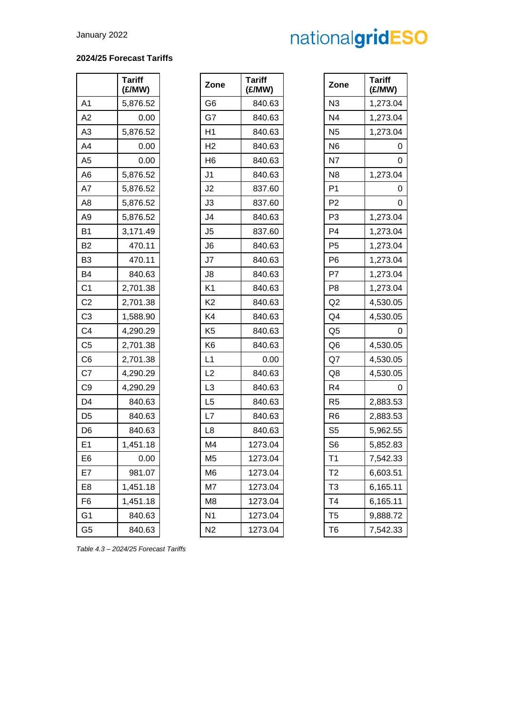# **2024/25 Forecast Tariffs**

|                | Tariff<br>(£/MW) |
|----------------|------------------|
| A1             | 5,876.52         |
| A2             | 0.00             |
| A3             | 5,876.52         |
| A4             | 0.00             |
| A5             | 0.00             |
| A6             | 5,876.52         |
| A7             | 5,876.52         |
| A8             | 5,876.52         |
| A9             | 5,876.52         |
| B1             | 3,171.49         |
| B2             | 470.11           |
| B3             | 470.11           |
| B4             | 840.63           |
| C <sub>1</sub> | 2,701.38         |
| C2             | 2,701.38         |
| C <sub>3</sub> | 1,588.90         |
| C4             | 4,290.29         |
| C5             | 2,701.38         |
| C <sub>6</sub> | 2,701.38         |
| C7             | 4,290.29         |
| C9             | 4,290.29         |
| D4             | 840.63           |
| D5             | 840.63           |
| D6             | 840.63           |
| E1             | 1,451.18         |
| E6             | 0.00             |
| :7<br>H        | 981.07           |
| E8             | 1,451.18         |
| F6             | 1,451.18         |
| G <sub>1</sub> | 840.63           |
| G <sub>5</sub> | 840.63           |

|                | <b>Tariff</b><br>(£/MW) | Zone           | <b>Tariff</b><br>(£/MW) | Zone           | <b>Tariff</b><br>(E/MW) |
|----------------|-------------------------|----------------|-------------------------|----------------|-------------------------|
| A1             | 5,876.52                | G <sub>6</sub> | 840.63                  | N <sub>3</sub> | 1,273.04                |
| A2             | 0.00                    | G7             | 840.63                  | N4             | 1,273.04                |
| A3             | 5,876.52                | H1             | 840.63                  | N <sub>5</sub> | 1,273.04                |
| A4             | 0.00                    | H <sub>2</sub> | 840.63                  | N <sub>6</sub> | 0                       |
| A5             | 0.00                    | H <sub>6</sub> | 840.63                  | N7             | 0                       |
| A6             | 5,876.52                | J <sub>1</sub> | 840.63                  | N <sub>8</sub> | 1,273.04                |
| A7             | 5,876.52                | J <sub>2</sub> | 837.60                  | P <sub>1</sub> | 0                       |
| A8             | 5,876.52                | J3             | 837.60                  | P <sub>2</sub> | 0                       |
| А9             | 5,876.52                | J4             | 840.63                  | P <sub>3</sub> | 1,273.04                |
| В1             | 3,171.49                | J <sub>5</sub> | 837.60                  | P <sub>4</sub> | 1,273.04                |
| B2             | 470.11                  | J6             | 840.63                  | P <sub>5</sub> | 1,273.04                |
| B3             | 470.11                  | J7             | 840.63                  | P <sub>6</sub> | 1,273.04                |
| B4             | 840.63                  | J8             | 840.63                  | P7             | 1,273.04                |
| C1             | 2,701.38                | K <sub>1</sub> | 840.63                  | P <sub>8</sub> | 1,273.04                |
| C <sub>2</sub> | 2,701.38                | K <sub>2</sub> | 840.63                  | Q2             | 4,530.05                |
| C3             | 1,588.90                | K4             | 840.63                  | Q4             | 4,530.05                |
| C4             | 4,290.29                | K <sub>5</sub> | 840.63                  | Q <sub>5</sub> | 0                       |
| C5             | 2,701.38                | K <sub>6</sub> | 840.63                  | Q <sub>6</sub> | 4,530.05                |
| C6             | 2,701.38                | L1             | 0.00                    | Q7             | 4,530.05                |
| C7             | 4,290.29                | L2             | 840.63                  | Q8             | 4,530.05                |
| C9             | 4,290.29                | L <sub>3</sub> | 840.63                  | R <sub>4</sub> | 0                       |
| D4             | 840.63                  | L <sub>5</sub> | 840.63                  | R <sub>5</sub> | 2,883.53                |
| D5             | 840.63                  | L7             | 840.63                  | R <sub>6</sub> | 2,883.53                |
| D6             | 840.63                  | L <sub>8</sub> | 840.63                  | S <sub>5</sub> | 5,962.55                |
| E1             | 1,451.18                | M4             | 1273.04                 | S <sub>6</sub> | 5,852.83                |
| E6             | 0.00                    | M <sub>5</sub> | 1273.04                 | T <sub>1</sub> | 7,542.33                |
| E7             | 981.07                  | M <sub>6</sub> | 1273.04                 | T <sub>2</sub> | 6,603.51                |
| E8             | 1,451.18                | M7             | 1273.04                 | T <sub>3</sub> | 6,165.11                |
| F6             | 1,451.18                | M <sub>8</sub> | 1273.04                 | T4             | 6,165.11                |
| G1             | 840.63                  | N <sub>1</sub> | 1273.04                 | T5             | 9,888.72                |
| G5             | 840.63                  | N <sub>2</sub> | 1273.04                 | T <sub>6</sub> | 7,542.33                |
|                |                         |                |                         |                |                         |

| <b>Tariff</b><br>(£/MW) | Zone           | Tariff<br>(£/MW) |
|-------------------------|----------------|------------------|
| 840.63                  | N <sub>3</sub> | 1,273.04         |
| 840.63                  | N4             | 1,273.04         |
| 840.63                  | N <sub>5</sub> | 1,273.04         |
| 840.63                  | N6             | 0                |
| 840.63                  | N7             | 0                |
| 840.63                  | N8             | 1,273.04         |
| 837.60                  | P <sub>1</sub> | 0                |
| 837.60                  | P <sub>2</sub> | 0                |
| 840.63                  | P3             | 1,273.04         |
| 837.60                  | P <sub>4</sub> | 1,273.04         |
| 840.63                  | P <sub>5</sub> | 1,273.04         |
| 840.63                  | P6             | 1,273.04         |
| 840.63                  | P7             | 1,273.04         |
| 840.63                  | P8             | 1,273.04         |
| 840.63                  | Q2             | 4,530.05         |
| 840.63                  | Q4             | 4,530.05         |
| 840.63                  | Q <sub>5</sub> | 0                |
| 840.63                  | Q6             | 4,530.05         |
| 0.00                    | Q7             | 4,530.05         |
| 840.63                  | Q8             | 4,530.05         |
| 840.63                  | R4             | 0                |
| 840.63                  | R <sub>5</sub> | 2,883.53         |
| 840.63                  | R <sub>6</sub> | 2,883.53         |
| 840.63                  | S <sub>5</sub> | 5,962.55         |
| 1273.04                 | S <sub>6</sub> | 5,852.83         |
| 1273.04                 | T <sub>1</sub> | 7,542.33         |
| 1273.04                 | T <sub>2</sub> | 6,603.51         |
| 1273.04                 | T <sub>3</sub> | 6,165.11         |
| 1273.04                 | T4             | 6,165.11         |
| 1273.04                 | T5             | 9,888.72         |
| 1273.04                 | T <sub>6</sub> | 7,542.33         |

*Table 4.3 – 2024/25 Forecast Tariffs*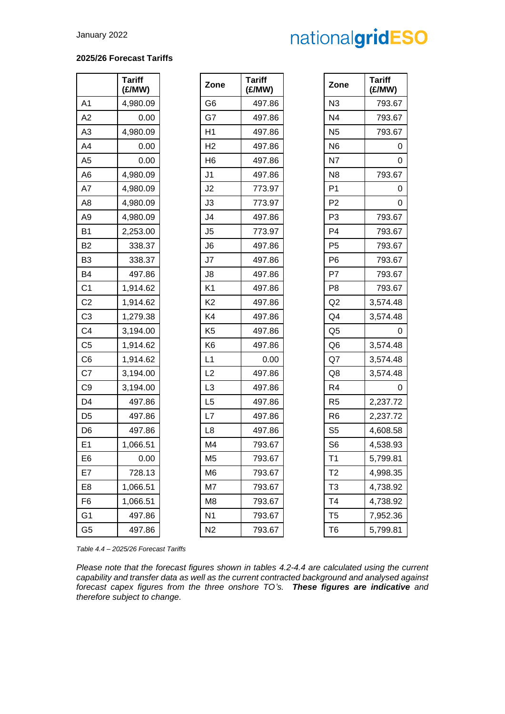## **2025/26 Forecast Tariffs**

|                | Tariff<br>(£/MW) |
|----------------|------------------|
| A1             | 4,980.09         |
| A2             | 0.00             |
| A3             | 4,980.09         |
| A4             | 0.00             |
| A5             | 0.00             |
| A6             | 4,980.09         |
| A7             | 4,980.09         |
| A8             | 4,980.09         |
| A9             | 4,980.09         |
| Β1             | 2,253.00         |
| B2             | 338.37           |
| B3             | 338.37           |
| B4             | 497.86           |
| C <sub>1</sub> | 1,914.62         |
| C2             | 1,914.62         |
| CЗ             | 1,279.38         |
| C4             | 3,194.00         |
| C5             | 1,914.62         |
| C <sub>6</sub> | 1,914.62         |
| C7             | 3,194.00         |
| C9             | 3,194.00         |
| D4             | 497.86           |
| D5             | 497.86           |
| D <sub>6</sub> | 497.86           |
| E1             | 1,066.51         |
| E6             | 0.00             |
| E7             | 728.13           |
| E8             | 1,066.51         |
| F6             | 1,066.51         |
| G1             | 497.86           |
| G <sub>5</sub> | 497.86           |

|                | <b>Tariff</b><br>(£/MW) | Zone           | <b>Tariff</b><br>(£/MW) | Zone           | <b>Tariff</b><br>(E/MW) |
|----------------|-------------------------|----------------|-------------------------|----------------|-------------------------|
| A1             | 4,980.09                | G <sub>6</sub> | 497.86                  | N3             | 793.67                  |
| A2             | 0.00                    | G7             | 497.86                  | N <sub>4</sub> | 793.67                  |
| A3             | 4,980.09                | H1             | 497.86                  | N <sub>5</sub> | 793.67                  |
| A4             | 0.00                    | H <sub>2</sub> | 497.86                  | N <sub>6</sub> | 0                       |
| A5             | 0.00                    | H <sub>6</sub> | 497.86                  | N7             | $\mathbf 0$             |
| A6             | 4,980.09                | J <sub>1</sub> | 497.86                  | N <sub>8</sub> | 793.67                  |
| A7             | 4,980.09                | J2             | 773.97                  | P <sub>1</sub> | 0                       |
| A8             | 4,980.09                | J3             | 773.97                  | P <sub>2</sub> | 0                       |
| Α9             | 4,980.09                | J4             | 497.86                  | P <sub>3</sub> | 793.67                  |
| В1             | 2,253.00                | J <sub>5</sub> | 773.97                  | P <sub>4</sub> | 793.67                  |
| B2             | 338.37                  | J <sub>6</sub> | 497.86                  | P <sub>5</sub> | 793.67                  |
| B3             | 338.37                  | J7             | 497.86                  | P <sub>6</sub> | 793.67                  |
| B4             | 497.86                  | J8             | 497.86                  | P7             | 793.67                  |
| C1             | 1,914.62                | K <sub>1</sub> | 497.86                  | P <sub>8</sub> | 793.67                  |
| C <sub>2</sub> | 1,914.62                | K <sub>2</sub> | 497.86                  | Q2             | 3,574.48                |
| C3             | 1,279.38                | K4             | 497.86                  | Q <sub>4</sub> | 3,574.48                |
| C4             | 3,194.00                | K <sub>5</sub> | 497.86                  | Q <sub>5</sub> | 0                       |
| C5             | 1,914.62                | K <sub>6</sub> | 497.86                  | Q <sub>6</sub> | 3,574.48                |
| C6             | 1,914.62                | L1             | 0.00                    | Q7             | 3,574.48                |
| C7             | 3,194.00                | L2             | 497.86                  | Q8             | 3,574.48                |
| C9             | 3,194.00                | L <sub>3</sub> | 497.86                  | R <sub>4</sub> | 0                       |
| D4             | 497.86                  | L <sub>5</sub> | 497.86                  | R <sub>5</sub> | 2,237.72                |
| D5             | 497.86                  | L7             | 497.86                  | R <sub>6</sub> | 2,237.72                |
| D6             | 497.86                  | L <sub>8</sub> | 497.86                  | S <sub>5</sub> | 4,608.58                |
| Ε1             | 1,066.51                | M <sub>4</sub> | 793.67                  | S <sub>6</sub> | 4,538.93                |
| E6             | 0.00                    | M <sub>5</sub> | 793.67                  | T <sub>1</sub> | 5,799.81                |
| E7             | 728.13                  | M <sub>6</sub> | 793.67                  | T2             | 4,998.35                |
| E8             | 1,066.51                | M7             | 793.67                  | T3             | 4,738.92                |
| F6             | 1,066.51                | M <sub>8</sub> | 793.67                  | T4             | 4,738.92                |
| G1             | 497.86                  | N <sub>1</sub> | 793.67                  | T <sub>5</sub> | 7,952.36                |
| G5             | 497.86                  | N <sub>2</sub> | 793.67                  | T <sub>6</sub> | 5,799.81                |

| <b>Tariff</b><br>(£/MW) | Zone           | <b>Tariff</b><br>(£/MW) |
|-------------------------|----------------|-------------------------|
| 497.86                  | N3             | 793.67                  |
| 497.86                  | N4             | 793.67                  |
| 497.86                  | N5             | 793.67                  |
| 497.86                  | N6             | 0                       |
| 497.86                  | N <sub>7</sub> | 0                       |
| 497.86                  | N8             | 793.67                  |
| 773.97                  | P <sub>1</sub> | 0                       |
| 773.97                  | P2             | 0                       |
| 497.86                  | P3             | 793.67                  |
| 773.97                  | P <sub>4</sub> | 793.67                  |
| 497.86                  | P <sub>5</sub> | 793.67                  |
| 497.86                  | P6             | 793.67                  |
| 497.86                  | P7             | 793.67                  |
| 497.86                  | P <sub>8</sub> | 793.67                  |
| 497.86                  | Q2             | 3,574.48                |
| 497.86                  | Q4             | 3,574.48                |
| 497.86                  | Q5             | 0                       |
| 497.86                  | Q6             | 3,574.48                |
| 0.00                    | Q7             | 3,574.48                |
| 497.86                  | Q8             | 3,574.48                |
| 497.86                  | R4             | 0                       |
| 497.86                  | R5             | 2,237.72                |
| 497.86                  | R6             | 2,237.72                |
| 497.86                  | S <sub>5</sub> | 4,608.58                |
| 793.67                  | S <sub>6</sub> | 4,538.93                |
| 793.67                  | T1             | 5,799.81                |
| 793.67                  | Т2             | 4,998.35                |
| 793.67                  | T <sub>3</sub> | 4,738.92                |
| 793.67                  | T <sub>4</sub> | 4,738.92                |
| 793.67                  | T5             | 7,952.36                |
| 793.67                  | T6             | 5,799.81                |

*Table 4.4 – 2025/26 Forecast Tariffs*

*Please note that the forecast figures shown in tables 4.2-4.4 are calculated using the current capability and transfer data as well as the current contracted background and analysed against forecast capex figures from the three onshore TO's. These figures are indicative and therefore subject to change.*